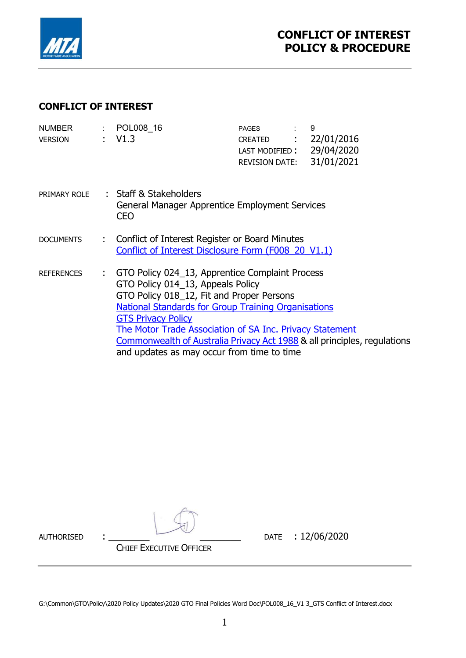

### CONFLICT OF INTEREST

| <b>NUMBER</b><br><b>VERSION</b> |    | : POL008 16<br>: V1.3                                                                                                                                                                                                                                                                                                                                                                                              | <b>PAGES</b><br>CREATED : 22/01/2016<br>LAST MODIFIED:<br><b>REVISION DATE:</b> | 9<br>29/04/2020<br>31/01/2021 |
|---------------------------------|----|--------------------------------------------------------------------------------------------------------------------------------------------------------------------------------------------------------------------------------------------------------------------------------------------------------------------------------------------------------------------------------------------------------------------|---------------------------------------------------------------------------------|-------------------------------|
| PRIMARY ROLE                    |    | : Staff & Stakeholders<br>General Manager Apprentice Employment Services<br><b>CEO</b>                                                                                                                                                                                                                                                                                                                             |                                                                                 |                               |
| <b>DOCUMENTS</b>                |    | : Conflict of Interest Register or Board Minutes<br>Conflict of Interest Disclosure Form (F008 20 V1.1)                                                                                                                                                                                                                                                                                                            |                                                                                 |                               |
| <b>REFERENCES</b>               | ÷. | GTO Policy 024_13, Apprentice Complaint Process<br>GTO Policy 014_13, Appeals Policy<br>GTO Policy 018_12, Fit and Proper Persons<br><b>National Standards for Group Training Organisations</b><br><b>GTS Privacy Policy</b><br>The Motor Trade Association of SA Inc. Privacy Statement<br>Commonwealth of Australia Privacy Act 1988 & all principles, regulations<br>and updates as may occur from time to time |                                                                                 |                               |

AUTHORISED : \_\_\_\_\_\_\_\_ \_\_\_\_\_\_\_\_ DATE : 12/06/2020

CHIEF EXECUTIVE OFFICER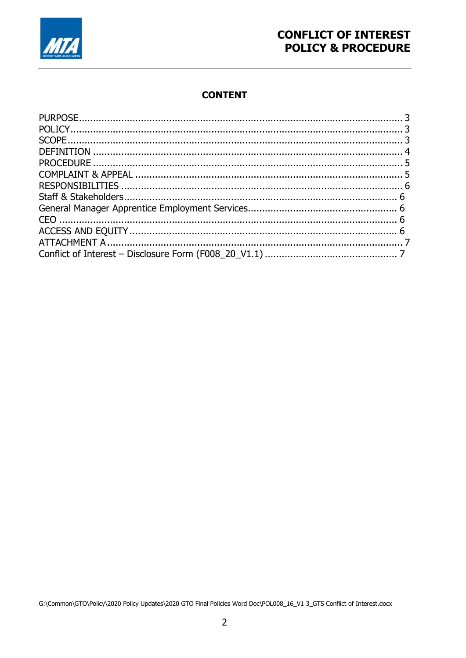

# **CONFLICT OF INTEREST POLICY & PROCEDURE**

# **CONTENT**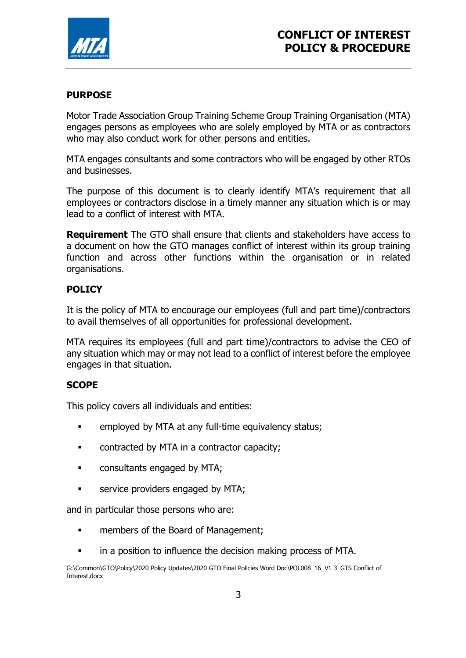

### PURPOSE

Motor Trade Association Group Training Scheme Group Training Organisation (MTA) engages persons as employees who are solely employed by MTA or as contractors who may also conduct work for other persons and entities.

MTA engages consultants and some contractors who will be engaged by other RTOs and businesses.

The purpose of this document is to clearly identify MTA's requirement that all employees or contractors disclose in a timely manner any situation which is or may lead to a conflict of interest with MTA.

**Requirement** The GTO shall ensure that clients and stakeholders have access to a document on how the GTO manages conflict of interest within its group training function and across other functions within the organisation or in related organisations.

### POLICY

It is the policy of MTA to encourage our employees (full and part time)/contractors to avail themselves of all opportunities for professional development.

MTA requires its employees (full and part time)/contractors to advise the CEO of any situation which may or may not lead to a conflict of interest before the employee engages in that situation.

### **SCOPE**

This policy covers all individuals and entities:

- **EXECUTE:** employed by MTA at any full-time equivalency status;
- **EXECONTRALLET CONTRACTLE CONTRACTLE CONTRACTLE CONTRACTLE CONTRACTLE CONTRACTLE CONTRACTLE CONTRACTLE CONTRACTLE**
- **EXECONSUMENT CONSULTATION EXECUTE:**
- service providers engaged by MTA;

and in particular those persons who are:

- **Example 1** members of the Board of Management;
- in a position to influence the decision making process of MTA.

G:\Common\GTO\Policy\2020 Policy Updates\2020 GTO Final Policies Word Doc\POL008\_16\_V1 3\_GTS Conflict of Interest.docx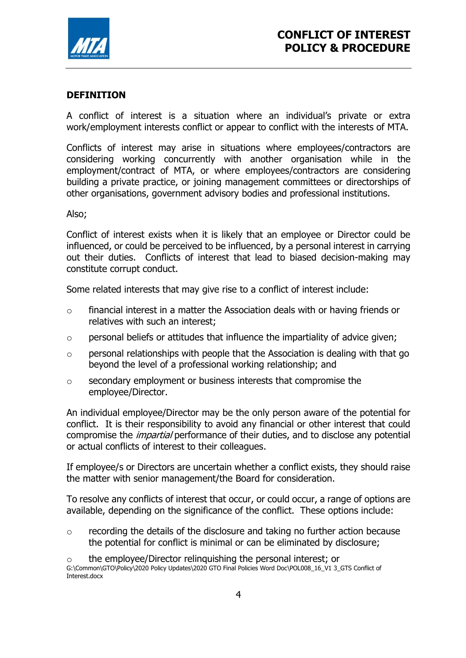

### DEFINITION

A conflict of interest is a situation where an individual's private or extra work/employment interests conflict or appear to conflict with the interests of MTA.

Conflicts of interest may arise in situations where employees/contractors are considering working concurrently with another organisation while in the employment/contract of MTA, or where employees/contractors are considering building a private practice, or joining management committees or directorships of other organisations, government advisory bodies and professional institutions.

#### Also;

Conflict of interest exists when it is likely that an employee or Director could be influenced, or could be perceived to be influenced, by a personal interest in carrying out their duties. Conflicts of interest that lead to biased decision-making may constitute corrupt conduct.

Some related interests that may give rise to a conflict of interest include:

- o financial interest in a matter the Association deals with or having friends or relatives with such an interest;
- $\circ$  personal beliefs or attitudes that influence the impartiality of advice given;
- $\circ$  personal relationships with people that the Association is dealing with that go beyond the level of a professional working relationship; and
- o secondary employment or business interests that compromise the employee/Director.

An individual employee/Director may be the only person aware of the potential for conflict. It is their responsibility to avoid any financial or other interest that could compromise the *impartial* performance of their duties, and to disclose any potential or actual conflicts of interest to their colleagues.

If employee/s or Directors are uncertain whether a conflict exists, they should raise the matter with senior management/the Board for consideration.

To resolve any conflicts of interest that occur, or could occur, a range of options are available, depending on the significance of the conflict. These options include:

o recording the details of the disclosure and taking no further action because the potential for conflict is minimal or can be eliminated by disclosure;

G:\Common\GTO\Policy\2020 Policy Updates\2020 GTO Final Policies Word Doc\POL008\_16\_V1 3\_GTS Conflict of Interest.docx  $\circ$  the employee/Director relinquishing the personal interest; or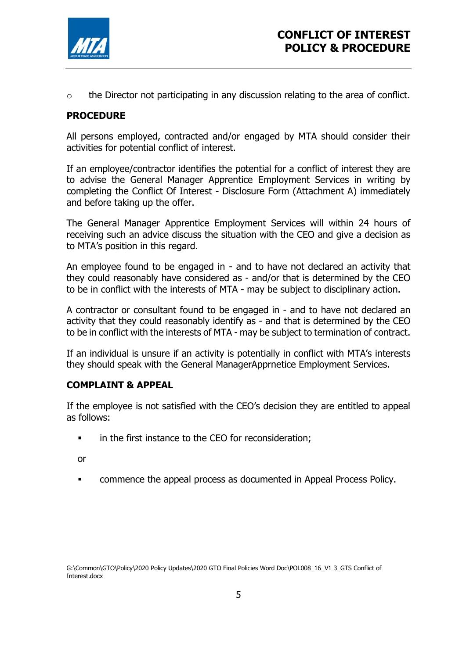

o the Director not participating in any discussion relating to the area of conflict.

### PROCEDURE

All persons employed, contracted and/or engaged by MTA should consider their activities for potential conflict of interest.

If an employee/contractor identifies the potential for a conflict of interest they are to advise the General Manager Apprentice Employment Services in writing by completing the Conflict Of Interest - Disclosure Form (Attachment A) immediately and before taking up the offer.

The General Manager Apprentice Employment Services will within 24 hours of receiving such an advice discuss the situation with the CEO and give a decision as to MTA's position in this regard.

An employee found to be engaged in - and to have not declared an activity that they could reasonably have considered as - and/or that is determined by the CEO to be in conflict with the interests of MTA - may be subject to disciplinary action.

A contractor or consultant found to be engaged in - and to have not declared an activity that they could reasonably identify as - and that is determined by the CEO to be in conflict with the interests of MTA - may be subject to termination of contract.

If an individual is unsure if an activity is potentially in conflict with MTA's interests they should speak with the General ManagerApprnetice Employment Services.

### COMPLAINT & APPEAL

If the employee is not satisfied with the CEO's decision they are entitled to appeal as follows:

**i** in the first instance to the CEO for reconsideration;

or

commence the appeal process as documented in Appeal Process Policy.

G:\Common\GTO\Policy\2020 Policy Updates\2020 GTO Final Policies Word Doc\POL008\_16\_V1 3\_GTS Conflict of Interest.docx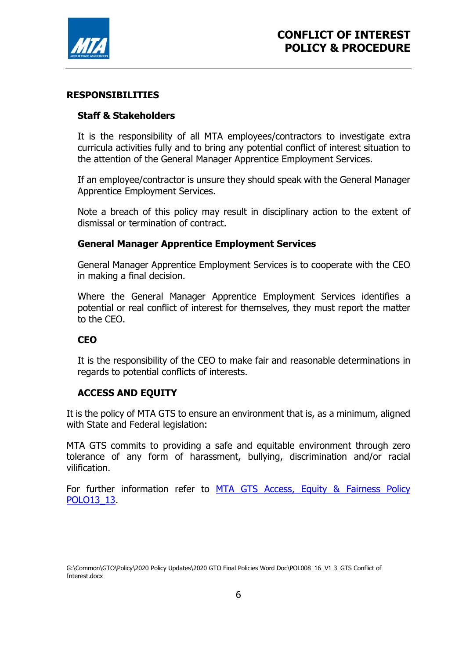

#### RESPONSIBILITIES

### Staff & Stakeholders

It is the responsibility of all MTA employees/contractors to investigate extra curricula activities fully and to bring any potential conflict of interest situation to the attention of the General Manager Apprentice Employment Services.

If an employee/contractor is unsure they should speak with the General Manager Apprentice Employment Services.

Note a breach of this policy may result in disciplinary action to the extent of dismissal or termination of contract.

#### General Manager Apprentice Employment Services

General Manager Apprentice Employment Services is to cooperate with the CEO in making a final decision.

Where the General Manager Apprentice Employment Services identifies a potential or real conflict of interest for themselves, they must report the matter to the CEO.

#### **CEO**

It is the responsibility of the CEO to make fair and reasonable determinations in regards to potential conflicts of interests.

#### ACCESS AND EQUITY

It is the policy of MTA GTS to ensure an environment that is, as a minimum, aligned with State and Federal legislation:

MTA GTS commits to providing a safe and equitable environment through zero tolerance of any form of harassment, bullying, discrimination and/or racial vilification.

For further information refer to MTA GTS Access, Equity & Fairness Policy POLO13\_13.

G:\Common\GTO\Policy\2020 Policy Updates\2020 GTO Final Policies Word Doc\POL008\_16\_V1 3\_GTS Conflict of Interest.docx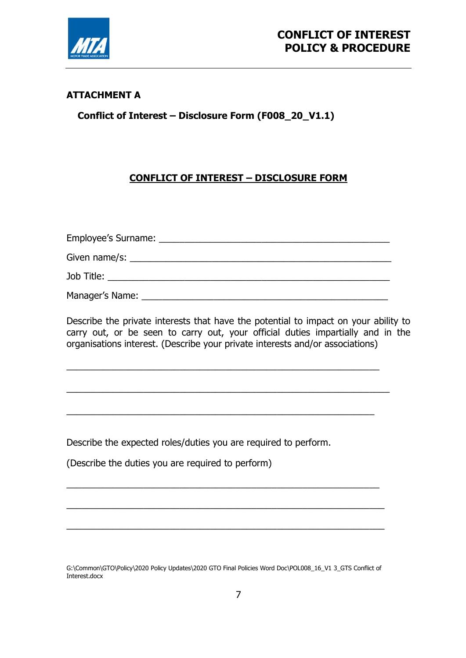

## ATTACHMENT A

Conflict of Interest – Disclosure Form (F008\_20\_V1.1)

# CONFLICT OF INTEREST – DISCLOSURE FORM

| Employee's Surname: |  |
|---------------------|--|
| Given name/s:       |  |
| Job Title:          |  |

Manager's Name:

\_\_\_\_\_\_\_\_\_\_\_\_\_\_\_\_\_\_\_\_\_\_\_\_\_\_\_\_\_\_\_\_\_\_\_\_\_\_\_\_\_\_\_\_\_\_\_\_\_\_\_\_\_\_\_\_\_\_\_\_\_

\_\_\_\_\_\_\_\_\_\_\_\_\_\_\_\_\_\_\_\_\_\_\_\_\_\_\_\_\_\_\_\_\_\_\_\_\_\_\_\_\_\_\_\_\_\_\_\_\_\_\_\_\_\_\_\_\_\_\_\_

\_\_\_\_\_\_\_\_\_\_\_\_\_\_\_\_\_\_\_\_\_\_\_\_\_\_\_\_\_\_\_\_\_\_\_\_\_\_\_\_\_\_\_\_\_\_\_\_\_\_\_\_\_\_\_\_\_\_\_\_\_

\_\_\_\_\_\_\_\_\_\_\_\_\_\_\_\_\_\_\_\_\_\_\_\_\_\_\_\_\_\_\_\_\_\_\_\_\_\_\_\_\_\_\_\_\_\_\_\_\_\_\_\_\_\_\_\_\_\_\_\_\_\_

\_\_\_\_\_\_\_\_\_\_\_\_\_\_\_\_\_\_\_\_\_\_\_\_\_\_\_\_\_\_\_\_\_\_\_\_\_\_\_\_\_\_\_\_\_\_\_\_\_\_\_\_\_\_\_\_\_\_\_\_\_\_

\_\_\_\_\_\_\_\_\_\_\_\_\_\_\_\_\_\_\_\_\_\_\_\_\_\_\_\_\_\_\_\_\_\_\_\_\_\_\_\_\_\_\_\_\_\_\_\_\_\_\_\_\_\_\_\_\_\_\_\_\_\_\_

Describe the private interests that have the potential to impact on your ability to carry out, or be seen to carry out, your official duties impartially and in the organisations interest. (Describe your private interests and/or associations)

Describe the expected roles/duties you are required to perform.

(Describe the duties you are required to perform)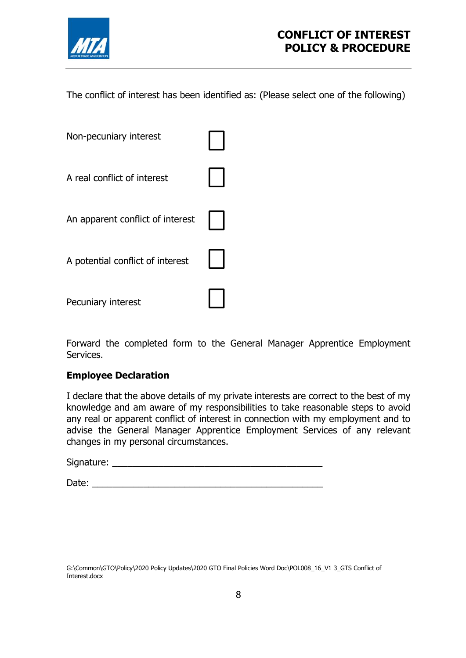

The conflict of interest has been identified as: (Please select one of the following)

| Non-pecuniary interest           |  |
|----------------------------------|--|
| A real conflict of interest      |  |
| An apparent conflict of interest |  |
| A potential conflict of interest |  |
| Pecuniary interest               |  |

Forward the completed form to the General Manager Apprentice Employment Services.

### Employee Declaration

I declare that the above details of my private interests are correct to the best of my knowledge and am aware of my responsibilities to take reasonable steps to avoid any real or apparent conflict of interest in connection with my employment and to advise the General Manager Apprentice Employment Services of any relevant changes in my personal circumstances.

Signature: \_\_\_\_\_\_\_\_\_\_\_\_\_\_\_\_\_\_\_\_\_\_\_\_\_\_\_\_\_\_\_\_\_\_\_\_\_\_\_\_\_

Date: